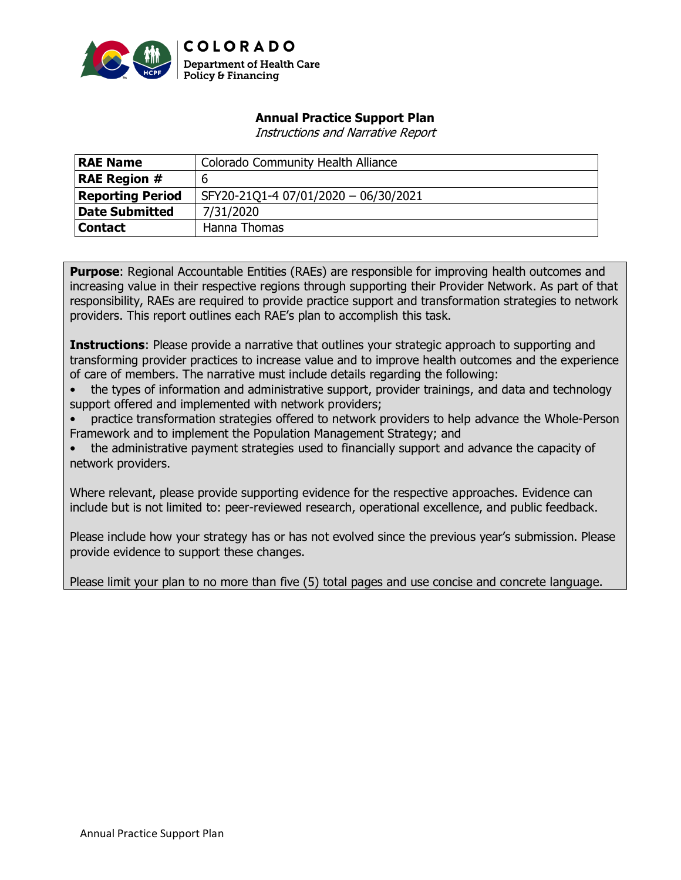

## **Annual Practice Support Plan**

Instructions and Narrative Report

| <b>RAE Name</b>         | <b>Colorado Community Health Alliance</b> |
|-------------------------|-------------------------------------------|
| <b>RAE Region #</b>     | 6                                         |
| <b>Reporting Period</b> | SFY20-21Q1-4 07/01/2020 - 06/30/2021      |
| <b>Date Submitted</b>   | 7/31/2020                                 |
| <b>Contact</b>          | Hanna Thomas                              |

**Purpose**: Regional Accountable Entities (RAEs) are responsible for improving health outcomes and increasing value in their respective regions through supporting their Provider Network. As part of that responsibility, RAEs are required to provide practice support and transformation strategies to network providers. This report outlines each RAE's plan to accomplish this task.

**Instructions**: Please provide a narrative that outlines your strategic approach to supporting and transforming provider practices to increase value and to improve health outcomes and the experience of care of members. The narrative must include details regarding the following:

• the types of information and administrative support, provider trainings, and data and technology support offered and implemented with network providers;

• practice transformation strategies offered to network providers to help advance the Whole-Person Framework and to implement the Population Management Strategy; and

• the administrative payment strategies used to financially support and advance the capacity of network providers.

Where relevant, please provide supporting evidence for the respective approaches. Evidence can include but is not limited to: peer-reviewed research, operational excellence, and public feedback.

Please include how your strategy has or has not evolved since the previous year's submission. Please provide evidence to support these changes.

Please limit your plan to no more than five (5) total pages and use concise and concrete language.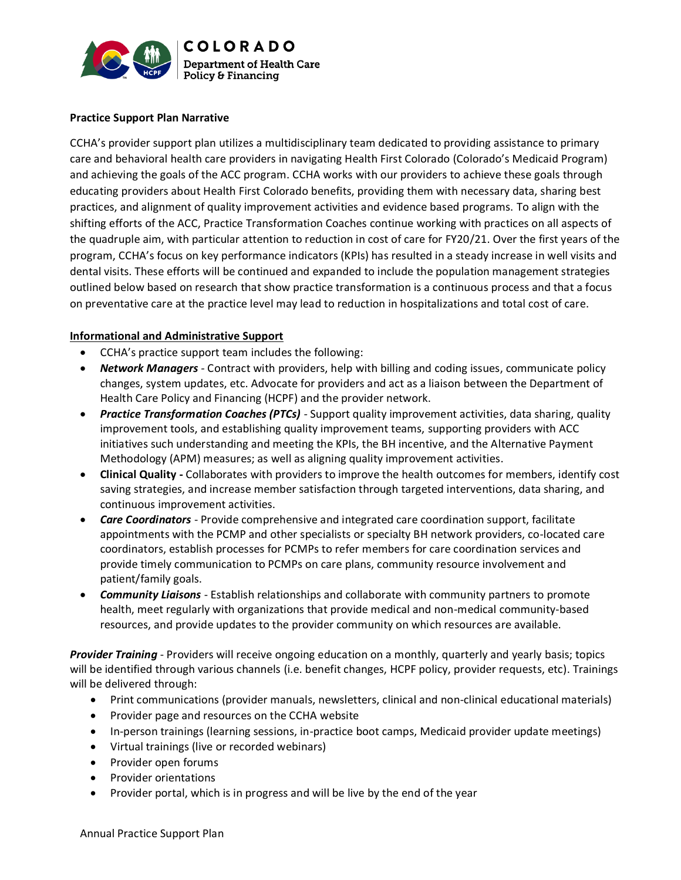

#### **Practice Support Plan Narrative**

CCHA's provider support plan utilizes a multidisciplinary team dedicated to providing assistance to primary care and behavioral health care providers in navigating Health First Colorado (Colorado's Medicaid Program) and achieving the goals of the ACC program. CCHA works with our providers to achieve these goals through educating providers about Health First Colorado benefits, providing them with necessary data, sharing best practices, and alignment of quality improvement activities and evidence based programs. To align with the shifting efforts of the ACC, Practice Transformation Coaches continue working with practices on all aspects of the quadruple aim, with particular attention to reduction in cost of care for FY20/21. Over the first years of the program, CCHA's focus on key performance indicators (KPIs) has resulted in a steady increase in well visits and dental visits. These efforts will be continued and expanded to include the population management strategies outlined below based on research that show practice transformation is a continuous process and that a focus on preventative care at the practice level may lead to reduction in hospitalizations and total cost of care.

#### **Informational and Administrative Support**

- CCHA's practice support team includes the following:
- *Network Managers -* Contract with providers, help with billing and coding issues, communicate policy changes, system updates, etc. Advocate for providers and act as a liaison between the Department of Health Care Policy and Financing (HCPF) and the provider network.
- *Practice Transformation Coaches (PTCs) -* Support quality improvement activities, data sharing, quality improvement tools, and establishing quality improvement teams, supporting providers with ACC initiatives such understanding and meeting the KPIs, the BH incentive, and the Alternative Payment Methodology (APM) measures; as well as aligning quality improvement activities.
- **Clinical Quality -** Collaborates with providers to improve the health outcomes for members, identify cost saving strategies, and increase member satisfaction through targeted interventions, data sharing, and continuous improvement activities.
- *Care Coordinators*  Provide comprehensive and integrated care coordination support, facilitate appointments with the PCMP and other specialists or specialty BH network providers, co-located care coordinators, establish processes for PCMPs to refer members for care coordination services and provide timely communication to PCMPs on care plans, community resource involvement and patient/family goals.
- *Community Liaisons*  Establish relationships and collaborate with community partners to promote health, meet regularly with organizations that provide medical and non-medical community-based resources, and provide updates to the provider community on which resources are available.

*Provider Training* - Providers will receive ongoing education on a monthly, quarterly and yearly basis; topics will be identified through various channels (i.e. benefit changes, HCPF policy, provider requests, etc). Trainings will be delivered through:

- Print communications (provider manuals, newsletters, clinical and non-clinical educational materials)
- Provider page and resources on the CCHA website
- In-person trainings (learning sessions, in-practice boot camps, Medicaid provider update meetings)
- Virtual trainings (live or recorded webinars)
- Provider open forums
- Provider orientations
- Provider portal, which is in progress and will be live by the end of the year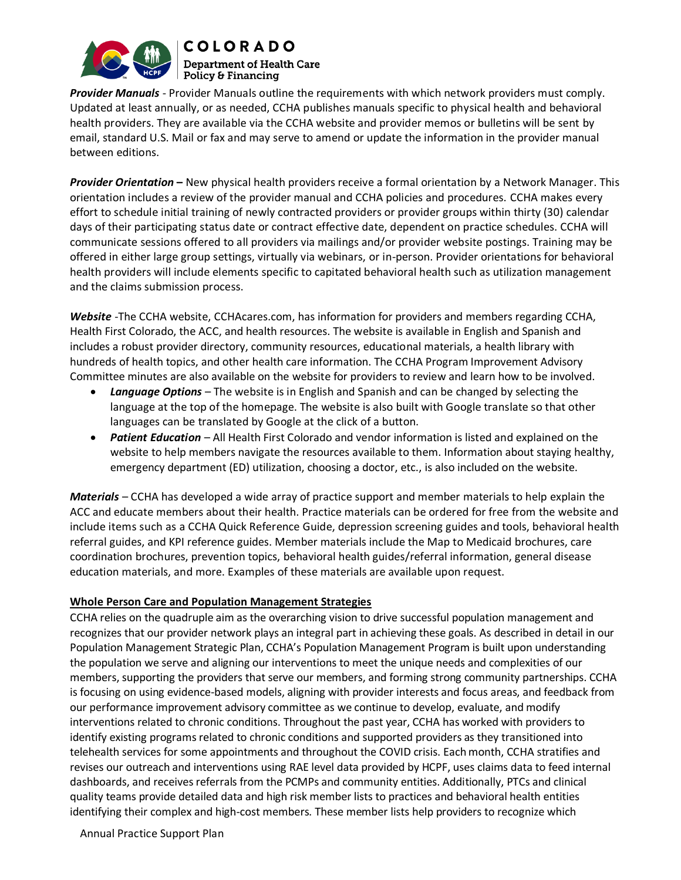

**COLORADO Department of Health Care**  $\mid$  Policy & Financing

*Provider Manuals* - Provider Manuals outline the requirements with which network providers must comply. Updated at least annually, or as needed, CCHA publishes manuals specific to physical health and behavioral health providers. They are available via the CCHA website and provider memos or bulletins will be sent by email, standard U.S. Mail or fax and may serve to amend or update the information in the provider manual between editions.

*Provider Orientation* **–** New physical health providers receive a formal orientation by a Network Manager. This orientation includes a review of the provider manual and CCHA policies and procedures. CCHA makes every effort to schedule initial training of newly contracted providers or provider groups within thirty (30) calendar days of their participating status date or contract effective date, dependent on practice schedules. CCHA will communicate sessions offered to all providers via mailings and/or provider website postings. Training may be offered in either large group settings, virtually via webinars, or in-person. Provider orientations for behavioral health providers will include elements specific to capitated behavioral health such as utilization management and the claims submission process.

*Website* -The CCHA website, [CCHAcares.com,](http://www.cchacares.com/) has information for providers and members regarding CCHA, Health First Colorado, the ACC, and health resources. The website is available in English and Spanish and includes a robust provider directory, community resources, educational materials, a health library with hundreds of health topics, and other health care information. The CCHA Program Improvement Advisory Committee minutes are also available on the website for providers to review and learn how to be involved.

- *Language Options* The website is in English and Spanish and can be changed by selecting the language at the top of the homepage. The website is also built with Google translate so that other languages can be translated by Google at the click of a button.
- *Patient Education* All Health First Colorado and vendor information is listed and explained on the website to help members navigate the resources available to them. Information about staying healthy, emergency department (ED) utilization, choosing a doctor, etc., is also included on the website.

*Materials* – CCHA has developed a wide array of practice support and member materials to help explain the ACC and educate members about their health. Practice materials can be ordered for free from the website and include items such as a CCHA Quick Reference Guide, depression screening guides and tools, behavioral health referral guides, and KPI reference guides. Member materials include the Map to Medicaid brochures, care coordination brochures, prevention topics, behavioral health guides/referral information, general disease education materials, and more. Examples of these materials are available upon request.

#### **Whole Person Care and Population Management Strategies**

CCHA relies on the quadruple aim as the overarching vision to drive successful population management and recognizes that our provider network plays an integral part in achieving these goals. As described in detail in our Population Management Strategic Plan, CCHA's Population Management Program is built upon understanding the population we serve and aligning our interventions to meet the unique needs and complexities of our members, supporting the providers that serve our members, and forming strong community partnerships. CCHA is focusing on using evidence-based models, aligning with provider interests and focus areas, and feedback from our performance improvement advisory committee as we continue to develop, evaluate, and modify interventions related to chronic conditions. Throughout the past year, CCHA has worked with providers to identify existing programs related to chronic conditions and supported providers as they transitioned into telehealth services for some appointments and throughout the COVID crisis. Each month, CCHA stratifies and revises our outreach and interventions using RAE level data provided by HCPF, uses claims data to feed internal dashboards, and receives referrals from the PCMPs and community entities. Additionally, PTCs and clinical quality teams provide detailed data and high risk member lists to practices and behavioral health entities identifying their complex and high-cost members. These member lists help providers to recognize which

Annual Practice Support Plan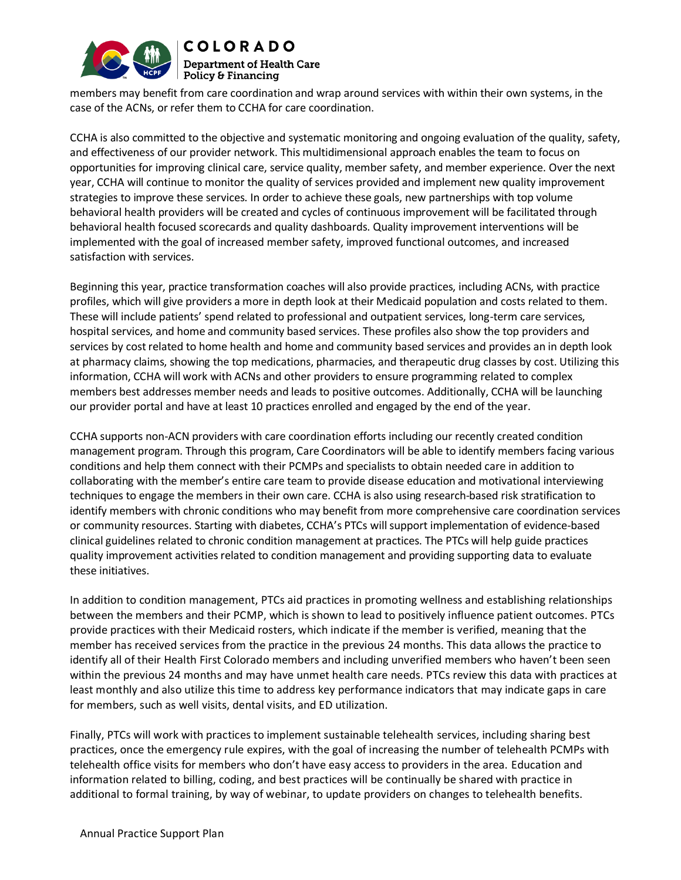

members may benefit from care coordination and wrap around services with within their own systems, in the case of the ACNs, or refer them to CCHA for care coordination.

CCHA is also committed to the objective and systematic monitoring and ongoing evaluation of the quality, safety, and effectiveness of our provider network. This multidimensional approach enables the team to focus on opportunities for improving clinical care, service quality, member safety, and member experience. Over the next year, CCHA will continue to monitor the quality of services provided and implement new quality improvement strategies to improve these services. In order to achieve these goals, new partnerships with top volume behavioral health providers will be created and cycles of continuous improvement will be facilitated through behavioral health focused scorecards and quality dashboards. Quality improvement interventions will be implemented with the goal of increased member safety, improved functional outcomes, and increased satisfaction with services.

Beginning this year, practice transformation coaches will also provide practices, including ACNs, with practice profiles, which will give providers a more in depth look at their Medicaid population and costs related to them. These will include patients' spend related to professional and outpatient services, long-term care services, hospital services, and home and community based services. These profiles also show the top providers and services by cost related to home health and home and community based services and provides an in depth look at pharmacy claims, showing the top medications, pharmacies, and therapeutic drug classes by cost. Utilizing this information, CCHA will work with ACNs and other providers to ensure programming related to complex members best addresses member needs and leads to positive outcomes. Additionally, CCHA will be launching our provider portal and have at least 10 practices enrolled and engaged by the end of the year.

CCHA supports non-ACN providers with care coordination efforts including our recently created condition management program. Through this program, Care Coordinators will be able to identify members facing various conditions and help them connect with their PCMPs and specialists to obtain needed care in addition to collaborating with the member's entire care team to provide disease education and motivational interviewing techniques to engage the members in their own care. CCHA is also using research-based risk stratification to identify members with chronic conditions who may benefit from more comprehensive care coordination services or community resources. Starting with diabetes, CCHA's PTCs willsupport implementation of evidence-based clinical guidelines related to chronic condition management at practices. The PTCs will help guide practices quality improvement activities related to condition management and providing supporting data to evaluate these initiatives.

In addition to condition management, PTCs aid practices in promoting wellness and establishing relationships between the members and their PCMP, which is shown to lead to positively influence patient outcomes. PTCs provide practices with their Medicaid rosters, which indicate if the member is verified, meaning that the member has received services from the practice in the previous 24 months. This data allows the practice to identify all of their Health First Colorado members and including unverified members who haven't been seen within the previous 24 months and may have unmet health care needs. PTCs review this data with practices at least monthly and also utilize this time to address key performance indicators that may indicate gaps in care for members, such as well visits, dental visits, and ED utilization.

Finally, PTCs will work with practices to implement sustainable telehealth services, including sharing best practices, once the emergency rule expires, with the goal of increasing the number of telehealth PCMPs with telehealth office visits for members who don't have easy access to providers in the area. Education and information related to billing, coding, and best practices will be continually be shared with practice in additional to formal training, by way of webinar, to update providers on changes to telehealth benefits.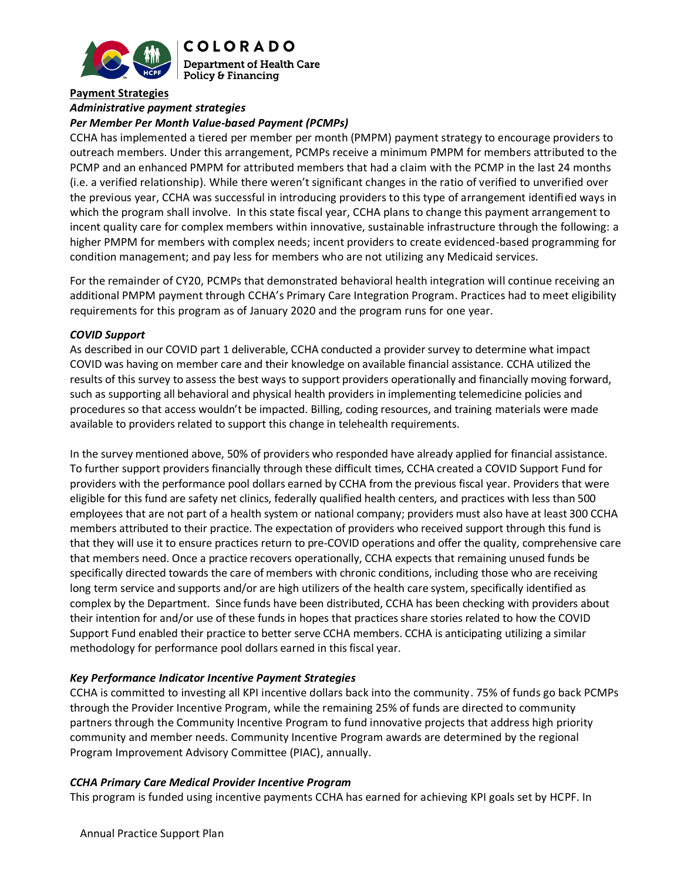

**COLORADO Department of Health Care Policy & Financing** 

#### **Payment Strategies**

## *Administrative payment strategies*

### *Per Member Per Month Value-based Payment (PCMPs)*

CCHA has implemented a tiered per member per month (PMPM) payment strategy to encourage providers to outreach members. Under this arrangement, PCMPs receive a minimum PMPM for members attributed to the PCMP and an enhanced PMPM for attributed members that had a claim with the PCMP in the last 24 months (i.e. a verified relationship). While there weren't significant changes in the ratio of verified to unverified over the previous year, CCHA was successful in introducing providers to this type of arrangement identified ways in which the program shall involve. In this state fiscal year, CCHA plans to change this payment arrangement to incent quality care for complex members within innovative, sustainable infrastructure through the following: a higher PMPM for members with complex needs; incent providers to create evidenced-based programming for condition management; and pay less for members who are not utilizing any Medicaid services.

For the remainder of CY20, PCMPs that demonstrated behavioral health integration will continue receiving an additional PMPM payment through CCHA's Primary Care Integration Program. Practices had to meet eligibility requirements for this program as of January 2020 and the program runs for one year.

#### *COVID Support*

As described in our COVID part 1 deliverable, CCHA conducted a provider survey to determine what impact COVID was having on member care and their knowledge on available financial assistance. CCHA utilized the results of this survey to assess the best ways to support providers operationally and financially moving forward, such as supporting all behavioral and physical health providers in implementing telemedicine policies and procedures so that access wouldn't be impacted. Billing, coding resources, and training materials were made available to providers related to support this change in telehealth requirements.

In the survey mentioned above, 50% of providers who responded have already applied for financial assistance. To further support providers financially through these difficult times, CCHA created a COVID Support Fund for providers with the performance pool dollars earned by CCHA from the previous fiscal year. Providers that were eligible for this fund are safety net clinics, federally qualified health centers, and practices with less than 500 employees that are not part of a health system or national company; providers must also have at least 300 CCHA members attributed to their practice. The expectation of providers who received support through this fund is that they will use it to ensure practices return to pre-COVID operations and offer the quality, comprehensive care that members need. Once a practice recovers operationally, CCHA expects that remaining unused funds be specifically directed towards the care of members with chronic conditions, including those who are receiving long term service and supports and/or are high utilizers of the health care system, specifically identified as complex by the Department. Since funds have been distributed, CCHA has been checking with providers about their intention for and/or use of these funds in hopes that practices share stories related to how the COVID Support Fund enabled their practice to better serve CCHA members. CCHA is anticipating utilizing a similar methodology for performance pool dollars earned in this fiscal year.

#### *Key Performance Indicator Incentive Payment Strategies*

CCHA is committed to investing all KPI incentive dollars back into the community. 75% of funds go back PCMPs through the Provider Incentive Program, while the remaining 25% of funds are directed to community partners through the Community Incentive Program to fund innovative projects that address high priority community and member needs. Community Incentive Program awards are determined by the regional Program Improvement Advisory Committee (PIAC), annually.

#### *CCHA Primary Care Medical Provider Incentive Program*

This program is funded using incentive payments CCHA has earned for achieving KPI goals set by HCPF. In